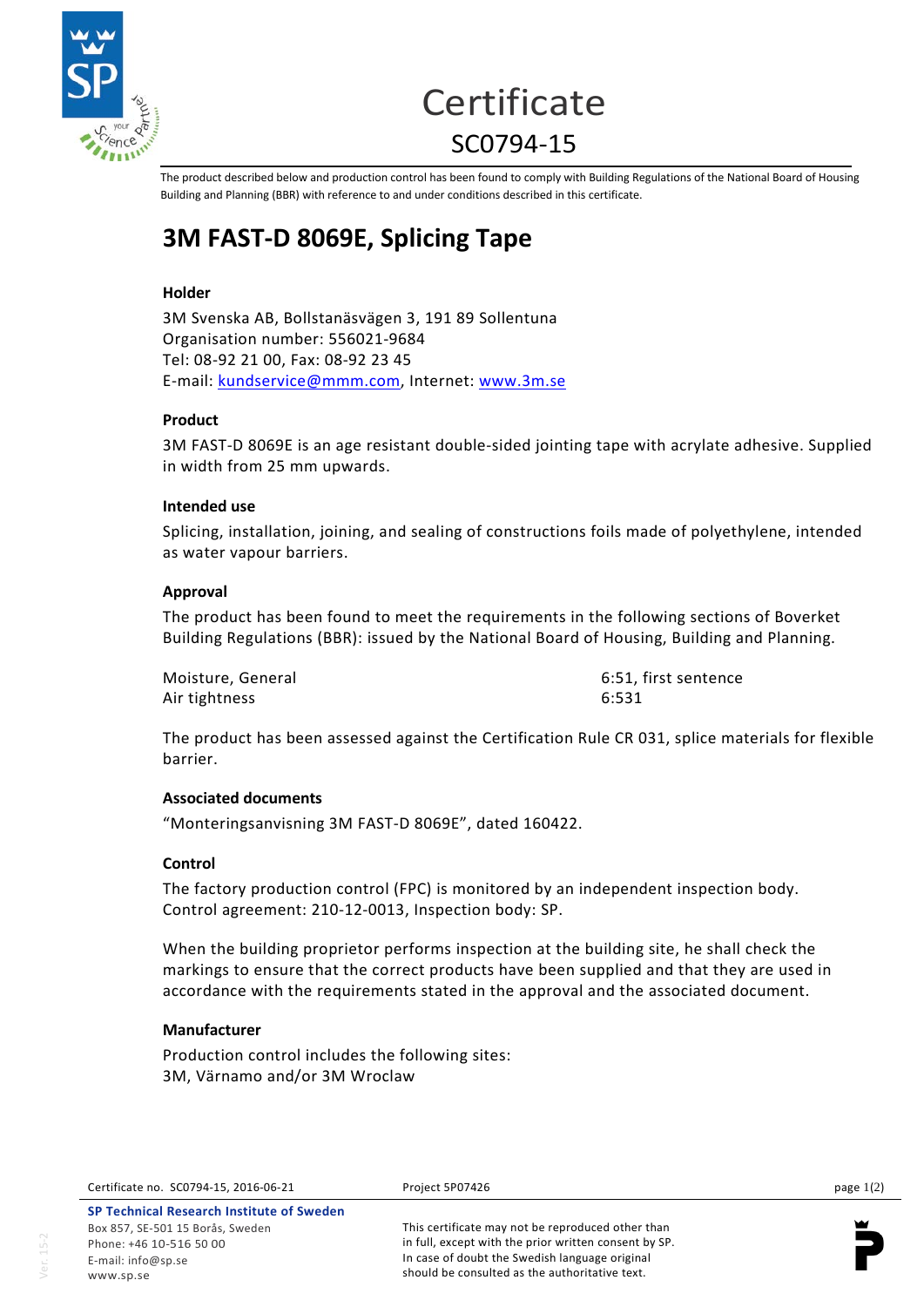

# **Certificate** SC0794-15

The product described below and production control has been found to comply with Building Regulations of the National Board of Housing Building and Planning (BBR) with reference to and under conditions described in this certificate.

# **3M FAST-D 8069E, Splicing Tape**

# **Holder**

3M Svenska AB, Bollstanäsvägen 3, 191 89 Sollentuna Organisation number: 556021-9684 Tel: 08-92 21 00, Fax: 08-92 23 45 E-mail: [kundservice@mmm.com,](mailto:kundservice@mmm.com) Internet: [www.3m.se](http://www.3m.se/)

# **Product**

3M FAST-D 8069E is an age resistant double-sided jointing tape with acrylate adhesive. Supplied in width from 25 mm upwards.

# **Intended use**

Splicing, installation, joining, and sealing of constructions foils made of polyethylene, intended as water vapour barriers.

# **Approval**

The product has been found to meet the requirements in the following sections of Boverket Building Regulations (BBR): issued by the National Board of Housing, Building and Planning.

| Moisture, General | 6:51, first sentence |
|-------------------|----------------------|
| Air tightness     | 6:531                |

The product has been assessed against the Certification Rule CR 031, splice materials for flexible barrier.

# **Associated documents**

"Monteringsanvisning 3M FAST-D 8069E", dated 160422.

#### **Control**

The factory production control (FPC) is monitored by an independent inspection body. Control agreement: 210-12-0013, Inspection body: SP.

When the building proprietor performs inspection at the building site, he shall check the markings to ensure that the correct products have been supplied and that they are used in accordance with the requirements stated in the approval and the associated document.

# **Manufacturer**

Production control includes the following sites: 3M, Värnamo and/or 3M Wroclaw

**SP Technical Research Institute of Sweden** Box 857, SE-501 15 Borås, Sweden Phone: +46 10-516 50 00 E-mail[: info@sp.se](mailto:info@sp.se) www.sp.se

This certificate may not be reproduced other than in full, except with the prior written consent by SP. In case of doubt the Swedish language original should be consulted as the authoritative text.